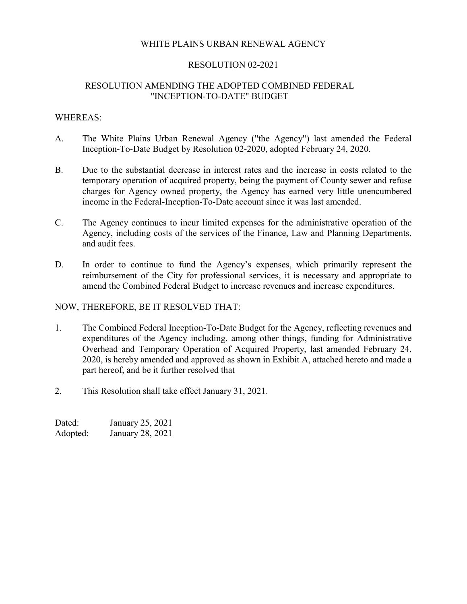## WHITE PLAINS URBAN RENEWAL AGENCY

### RESOLUTION 02-2021

## RESOLUTION AMENDING THE ADOPTED COMBINED FEDERAL "INCEPTION-TO-DATE" BUDGET

### WHEREAS:

- A. The White Plains Urban Renewal Agency ("the Agency") last amended the Federal Inception-To-Date Budget by Resolution 02-2020, adopted February 24, 2020.
- B. Due to the substantial decrease in interest rates and the increase in costs related to the temporary operation of acquired property, being the payment of County sewer and refuse charges for Agency owned property, the Agency has earned very little unencumbered income in the Federal-Inception-To-Date account since it was last amended.
- C. The Agency continues to incur limited expenses for the administrative operation of the Agency, including costs of the services of the Finance, Law and Planning Departments, and audit fees.
- D. In order to continue to fund the Agency's expenses, which primarily represent the reimbursement of the City for professional services, it is necessary and appropriate to amend the Combined Federal Budget to increase revenues and increase expenditures.

### NOW, THEREFORE, BE IT RESOLVED THAT:

- 1. The Combined Federal Inception-To-Date Budget for the Agency, reflecting revenues and expenditures of the Agency including, among other things, funding for Administrative Overhead and Temporary Operation of Acquired Property, last amended February 24, 2020, is hereby amended and approved as shown in Exhibit A, attached hereto and made a part hereof, and be it further resolved that
- 2. This Resolution shall take effect January 31, 2021.

| Dated:   | January 25, 2021 |
|----------|------------------|
| Adopted: | January 28, 2021 |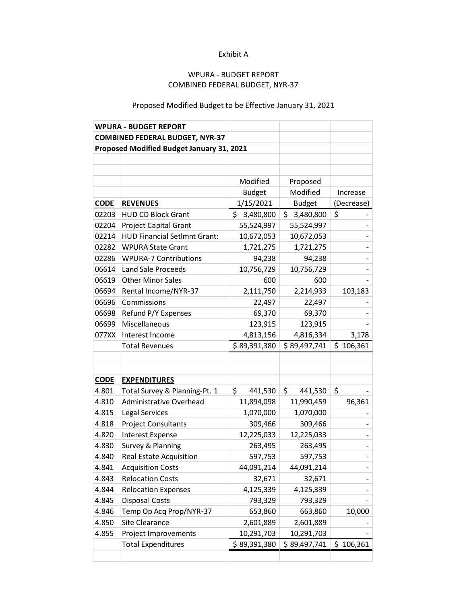## Exhibit A

## WPURA - BUDGET REPORT COMBINED FEDERAL BUDGET, NYR-37

# Proposed Modified Budget to be Effective January 31, 2021

|                                           | <b>WPURA - BUDGET REPORT</b>           |                 |               |            |  |
|-------------------------------------------|----------------------------------------|-----------------|---------------|------------|--|
|                                           | <b>COMBINED FEDERAL BUDGET, NYR-37</b> |                 |               |            |  |
| Proposed Modified Budget January 31, 2021 |                                        |                 |               |            |  |
|                                           |                                        |                 |               |            |  |
|                                           |                                        |                 |               |            |  |
|                                           |                                        | Modified        | Proposed      |            |  |
|                                           |                                        | <b>Budget</b>   | Modified      | Increase   |  |
| <b>CODE</b>                               | <b>REVENUES</b>                        | 1/15/2021       | <b>Budget</b> | (Decrease) |  |
| 02203                                     | <b>HUD CD Block Grant</b>              | \$<br>3,480,800 | \$3,480,800   | \$         |  |
| 02204                                     | Project Capital Grant                  | 55,524,997      | 55,524,997    |            |  |
| 02214                                     | <b>HUD Financial SetImnt Grant:</b>    | 10,672,053      | 10,672,053    |            |  |
| 02282                                     | <b>WPURA State Grant</b>               | 1,721,275       | 1,721,275     |            |  |
| 02286                                     | <b>WPURA-7 Contributions</b>           | 94,238          | 94,238        |            |  |
| 06614                                     | <b>Land Sale Proceeds</b>              | 10,756,729      | 10,756,729    |            |  |
| 06619                                     | <b>Other Minor Sales</b>               | 600             | 600           |            |  |
| 06694                                     | Rental Income/NYR-37                   | 2,111,750       | 2,214,933     | 103,183    |  |
| 06696                                     | Commissions                            | 22,497          | 22,497        |            |  |
| 06698                                     | Refund P/Y Expenses                    | 69,370          | 69,370        |            |  |
| 06699                                     | Miscellaneous                          | 123,915         | 123,915       |            |  |
| 077XX                                     | Interest Income                        | 4,813,156       | 4,816,334     | 3,178      |  |
|                                           | <b>Total Revenues</b>                  | \$89,391,380    | \$89,497,741  | \$106,361  |  |
|                                           |                                        |                 |               |            |  |
|                                           |                                        |                 |               |            |  |
| <b>CODE</b>                               | <b>EXPENDITURES</b>                    |                 |               |            |  |
| 4.801                                     | Total Survey & Planning-Pt. 1          | \$.<br>441,530  | \$<br>441,530 | \$         |  |
| 4.810                                     | Administrative Overhead                | 11,894,098      | 11,990,459    | 96,361     |  |
| 4.815                                     | Legal Services                         | 1,070,000       | 1,070,000     |            |  |
| 4.818                                     | <b>Project Consultants</b>             | 309,466         | 309,466       |            |  |
| 4.820                                     | <b>Interest Expense</b>                | 12,225,033      | 12,225,033    |            |  |
| 4.830                                     |                                        |                 |               |            |  |
|                                           | Survey & Planning                      | 263,495         | 263,495       |            |  |
| 4.840                                     | Real Estate Acquisition                | 597,753         | 597,753       |            |  |
| 4.841                                     | <b>Acquisition Costs</b>               | 44,091,214      | 44,091,214    |            |  |
| 4.843                                     | <b>Relocation Costs</b>                | 32,671          | 32,671        |            |  |
| 4.844                                     | <b>Relocation Expenses</b>             | 4,125,339       | 4,125,339     |            |  |
| 4.845                                     | <b>Disposal Costs</b>                  | 793,329         | 793,329       |            |  |
| 4.846                                     | Temp Op Acq Prop/NYR-37                | 653,860         | 663,860       | 10,000     |  |
| 4.850                                     | Site Clearance                         | 2,601,889       | 2,601,889     |            |  |
| 4.855                                     | Project Improvements                   | 10,291,703      | 10,291,703    |            |  |
|                                           | <b>Total Expenditures</b>              | \$89,391,380    | \$89,497,741  | \$106,361  |  |